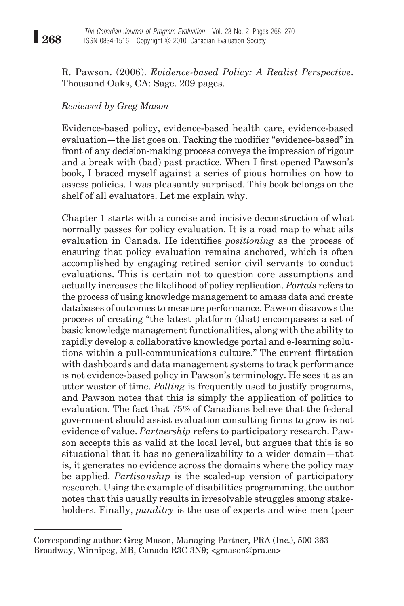R. Pawson. (2006). *Evidence-based Policy: A Realist Perspective*. Thousand Oaks, CA: Sage. 209 pages.

## *Reviewed by Greg Mason*

Evidence-based policy, evidence-based health care, evidence-based evaluation—the list goes on. Tacking the modifier "evidence-based" in front of any decision-making process conveys the impression of rigour and a break with (bad) past practice. When I first opened Pawson's book, I braced myself against a series of pious homilies on how to assess policies. I was pleasantly surprised. This book belongs on the shelf of all evaluators. Let me explain why.

Chapter 1 starts with a concise and incisive deconstruction of what normally passes for policy evaluation. It is a road map to what ails evaluation in Canada. He identifies *positioning* as the process of ensuring that policy evaluation remains anchored, which is often accomplished by engaging retired senior civil servants to conduct evaluations. This is certain not to question core assumptions and actually increases the likelihood of policy replication. *Portals* refers to the process of using knowledge management to amass data and create databases of outcomes to measure performance. Pawson disavows the process of creating "the latest platform (that) encompasses a set of basic knowledge management functionalities, along with the ability to rapidly develop a collaborative knowledge portal and e-learning solutions within a pull-communications culture." The current flirtation with dashboards and data management systems to track performance is not evidence-based policy in Pawson's terminology. He sees it as an utter waster of time. *Polling* is frequently used to justify programs, and Pawson notes that this is simply the application of politics to evaluation. The fact that 75% of Canadians believe that the federal government should assist evaluation consulting firms to grow is not evidence of value. *Partnership* refers to participatory research. Pawson accepts this as valid at the local level, but argues that this is so situational that it has no generalizability to a wider domain—that is, it generates no evidence across the domains where the policy may be applied. *Partisanship* is the scaled-up version of participatory research. Using the example of disabilities programming, the author notes that this usually results in irresolvable struggles among stakeholders. Finally, *punditry* is the use of experts and wise men (peer

Corresponding author: Greg Mason, Managing Partner, PRA (Inc.), 500-363 Broadway, Winnipeg, MB, Canada R3C 3N9; <gmason@pra.ca>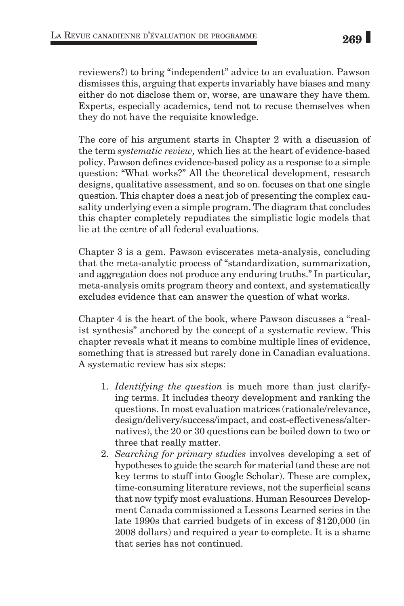reviewers?) to bring "independent" advice to an evaluation. Pawson dismisses this, arguing that experts invariably have biases and many either do not disclose them or, worse, are unaware they have them. Experts, especially academics, tend not to recuse themselves when they do not have the requisite knowledge.

The core of his argument starts in Chapter 2 with a discussion of the term *systematic review,* which lies at the heart of evidence-based policy. Pawson defines evidence-based policy as a response to a simple question: "What works?" All the theoretical development, research designs, qualitative assessment, and so on. focuses on that one single question. This chapter does a neat job of presenting the complex causality underlying even a simple program. The diagram that concludes this chapter completely repudiates the simplistic logic models that lie at the centre of all federal evaluations.

Chapter 3 is a gem. Pawson eviscerates meta-analysis, concluding that the meta-analytic process of "standardization, summarization, and aggregation does not produce any enduring truths." In particular, meta-analysis omits program theory and context, and systematically excludes evidence that can answer the question of what works.

Chapter 4 is the heart of the book, where Pawson discusses a "realist synthesis" anchored by the concept of a systematic review. This chapter reveals what it means to combine multiple lines of evidence, something that is stressed but rarely done in Canadian evaluations. A systematic review has six steps:

- 1. *Identifying the question* is much more than just clarifying terms. It includes theory development and ranking the questions. In most evaluation matrices (rationale/relevance, design/delivery/success/impact, and cost-effectiveness/alternatives), the 20 or 30 questions can be boiled down to two or three that really matter.
- 2. *Searching for primary studies* involves developing a set of hypotheses to guide the search for material (and these are not key terms to stuff into Google Scholar). These are complex, time-consuming literature reviews, not the superficial scans that now typify most evaluations. Human Resources Development Canada commissioned a Lessons Learned series in the late 1990s that carried budgets of in excess of \$120,000 (in 2008 dollars) and required a year to complete. It is a shame that series has not continued.